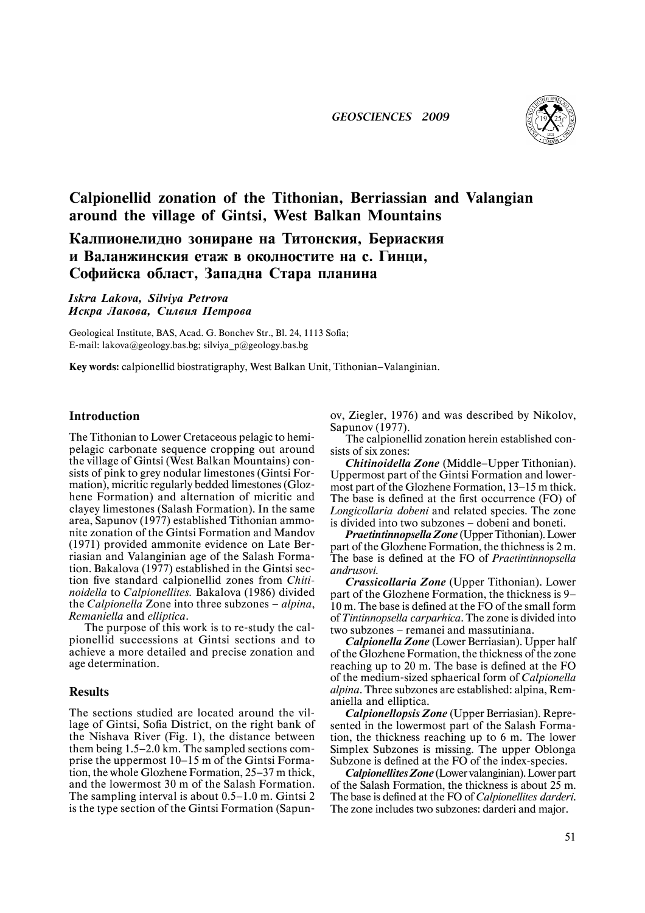

# **Calpionellid zonation of the Tithonian, Berriassian and Valangian around the village of Gintsi, West Balkan Mountains**

Калпионелидно зониране на Титонския, Бериаския **и Валанжинския етаж в околностите на с. Гинци, Ñîôèéñêà îáëàñò, Çàïàäíà Ñòàðà ïëàíèíà**

*Iskra Lakova, Silviya Petrova Èñêðà Ëàêîâà, Ñèëâèÿ Ïåòðîâà*

Geological Institute, BAS, Acad. G. Bonchev Str., Bl. 24, 1113 Sofia; E-mail: lakova@geology.bas.bg; silviya\_p@geology.bas.bg

**Key words:** calpionellid biostratigraphy, West Balkan Unit, Tithonian—Valanginian.

## **Introduction**

The Tithonian to Lower Cretaceous pelagic to hemipelagic carbonate sequence cropping out around the village of Gintsi (West Balkan Mountains) consists of pink to grey nodular limestones (Gintsi Formation), micritic regularly bedded limestones (Glozhene Formation) and alternation of micritic and clayey limestones (Salash Formation). In the same area, Sapunov (1977) established Tithonian ammonite zonation of the Gintsi Formation and Mandov (1971) provided ammonite evidence on Late Berriasian and Valanginian age of the Salash Formation. Bakalova (1977) established in the Gintsi section five standard calpionellid zones from *Chitinoidella* to *Calpionellites.* Bakalova (1986) divided the *Calpionella* Zone into three subzones — *alpina*, *Remaniella* and *elliptica*.

The purpose of this work is to re-study the calpionellid successions at Gintsi sections and to achieve a more detailed and precise zonation and age determination.

#### **Results**

The sections studied are located around the village of Gintsi, Sofia District, on the right bank of the Nishava River (Fig. 1), the distance between them being 1.5—2.0 km. The sampled sections comprise the uppermost 10—15 m of the Gintsi Formation, the whole Glozhene Formation, 25—37 m thick, and the lowermost 30 m of the Salash Formation. The sampling interval is about 0.5—1.0 m. Gintsi 2 is the type section of the Gintsi Formation (Sapunov, Ziegler, 1976) and was described by Nikolov, Sapunov (1977).

The calpionellid zonation herein established consists of six zones:

*Chitinoidella Zone* (Middle—Upper Tithonian). Uppermost part of the Gintsi Formation and lowermost part of the Glozhene Formation, 13—15 m thick. The base is defined at the first occurrence (FO) of *Longicollaria dobeni* and related species. The zone is divided into two subzones — dobeni and boneti.

*Praetintinnopsella Zone* (Upper Tithonian). Lower part of the Glozhene Formation, the thichnessis 2 m. The base is defined at the FO of *Praetintinnopsella andrusovi.*

*Crassicollaria Zone* (Upper Tithonian). Lower part of the Glozhene Formation, the thickness is 9— 10 m. The base is defined at the FO of the small form of *Tintinnopsella carparhica*. The zone is divided into two subzones — remanei and massutiniana.

*Calpionella Zone* (Lower Berriasian). Upper half of the Glozhene Formation, the thickness of the zone reaching up to 20 m. The base is defined at the FO of the medium-sized sphaerical form of *Calpionella alpina*. Three subzones are established: alpina, Remaniella and elliptica.

*Calpionellopsis Zone* (Upper Berriasian). Represented in the lowermost part of the Salash Formation, the thickness reaching up to 6 m. The lower Simplex Subzones is missing. The upper Oblonga Subzone is defined at the FO of the index-species.

Calpionellites Zone (Lower valanginian). Lower part of the Salash Formation, the thickness is about 25 m. The base is defined at the FO of *Calpionellites darderi*. The zone includes two subzones: darderi and major.